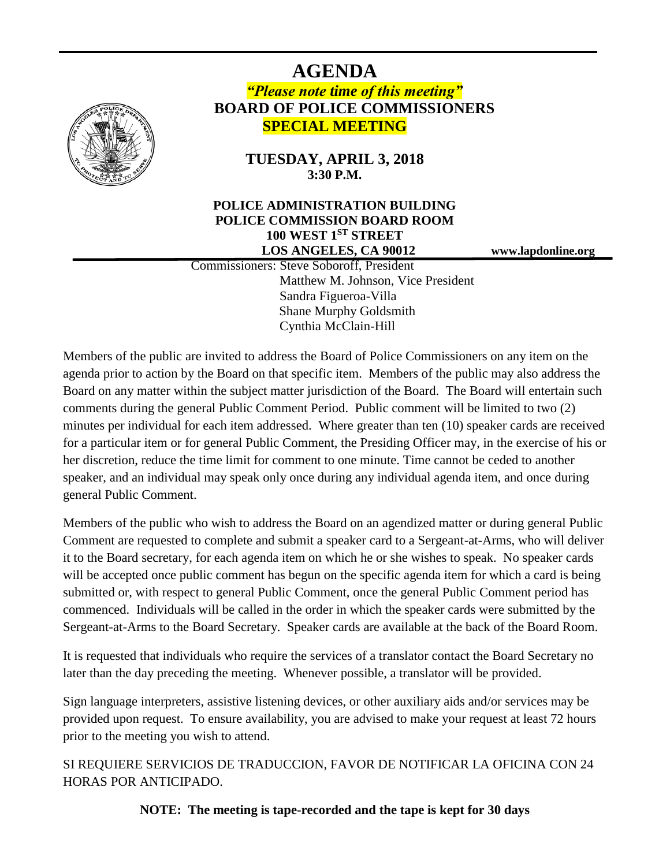# **AGENDA**

# *"Please note time of this meeting"* **BOARD OF POLICE COMMISSIONERS SPECIAL MEETING**

# **TUESDAY, APRIL 3, 2018 3:30 P.M.**

## **POLICE ADMINISTRATION BUILDING POLICE COMMISSION BOARD ROOM 100 WEST 1ST STREET LOS ANGELES, CA 90012 www.lapdonline.org**

 Commissioners: Steve Soboroff, President Matthew M. Johnson, Vice President Sandra Figueroa-Villa Shane Murphy Goldsmith Cynthia McClain-Hill

Members of the public are invited to address the Board of Police Commissioners on any item on the agenda prior to action by the Board on that specific item. Members of the public may also address the Board on any matter within the subject matter jurisdiction of the Board. The Board will entertain such comments during the general Public Comment Period. Public comment will be limited to two (2) minutes per individual for each item addressed. Where greater than ten (10) speaker cards are received for a particular item or for general Public Comment, the Presiding Officer may, in the exercise of his or her discretion, reduce the time limit for comment to one minute. Time cannot be ceded to another speaker, and an individual may speak only once during any individual agenda item, and once during general Public Comment.

Members of the public who wish to address the Board on an agendized matter or during general Public Comment are requested to complete and submit a speaker card to a Sergeant-at-Arms, who will deliver it to the Board secretary, for each agenda item on which he or she wishes to speak. No speaker cards will be accepted once public comment has begun on the specific agenda item for which a card is being submitted or, with respect to general Public Comment, once the general Public Comment period has commenced. Individuals will be called in the order in which the speaker cards were submitted by the Sergeant-at-Arms to the Board Secretary. Speaker cards are available at the back of the Board Room.

It is requested that individuals who require the services of a translator contact the Board Secretary no later than the day preceding the meeting. Whenever possible, a translator will be provided.

Sign language interpreters, assistive listening devices, or other auxiliary aids and/or services may be provided upon request. To ensure availability, you are advised to make your request at least 72 hours prior to the meeting you wish to attend.

SI REQUIERE SERVICIOS DE TRADUCCION, FAVOR DE NOTIFICAR LA OFICINA CON 24 HORAS POR ANTICIPADO.

**NOTE: The meeting is tape-recorded and the tape is kept for 30 days**